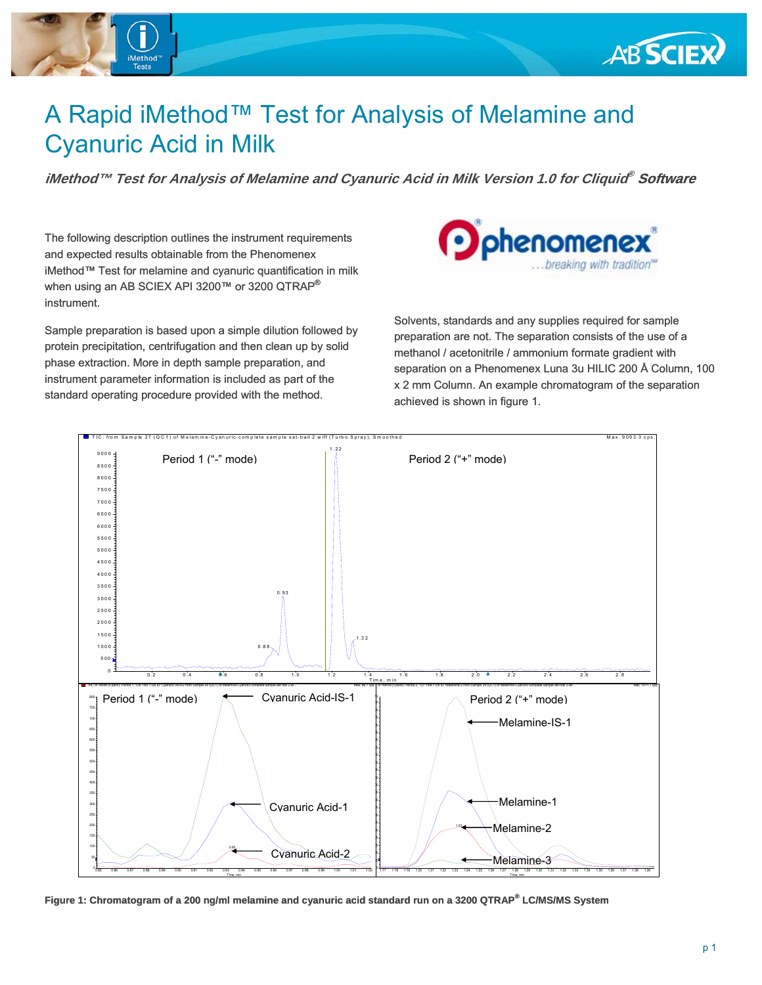

# A Rapid iMethod™ Test for Analysis of Melamine and Cyanuric Acid in Milk

**iMethod™ Test for Analysis of Melamine and Cyanuric Acid in Milk Version 1.0 for Cliquid® Software** 

The following description outlines the instrument requirements and expected results obtainable from the Phenomenex iMethod™ Test for melamine and cyanuric quantification in milk when using an AB SCIEX API 3200™ or 3200 QTRAP® instrument.

Sample preparation is based upon a simple dilution followed by protein precipitation, centrifugation and then clean up by solid phase extraction. More in depth sample preparation, and instrument parameter information is included as part of the standard operating procedure provided with the method.



Solvents, standards and any supplies required for sample preparation are not. The separation consists of the use of a methanol / acetonitrile / ammonium formate gradient with separation on a Phenomenex Luna 3u HILIC 200 Å Column, 100 x 2 mm Column. An example chromatogram of the separation achieved is shown in figure 1.



**Figure 1: Chromatogram of a 200 ng/ml melamine and cyanuric acid standard run on a 3200 QTRAP® LC/MS/MS System**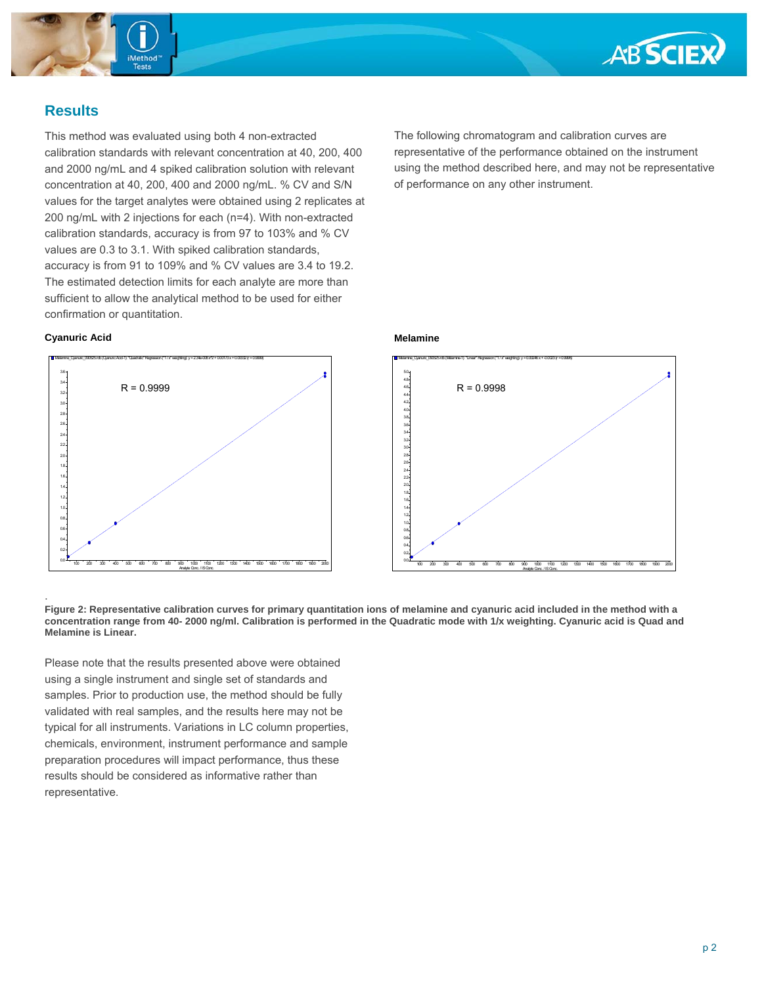



# **Results**

This method was evaluated using both 4 non-extracted calibration standards with relevant concentration at 40, 200, 400 and 2000 ng/mL and 4 spiked calibration solution with relevant concentration at 40, 200, 400 and 2000 ng/mL. % CV and S/N values for the target analytes were obtained using 2 replicates at 200 ng/mL with 2 injections for each (n=4). With non-extracted calibration standards, accuracy is from 97 to 103% and % CV values are 0.3 to 3.1. With spiked calibration standards, accuracy is from 91 to 109% and % CV values are 3.4 to 19.2. The estimated detection limits for each analyte are more than sufficient to allow the analytical method to be used for either confirmation or quantitation.

#### **Cyanuric Acid**

.



The following chromatogram and calibration curves are representative of the performance obtained on the instrument using the method described here, and may not be representative of performance on any other instrument.

### **Melamine**



**Figure 2: Representative calibration curves for primary quantitation ions of melamine and cyanuric acid included in the method with a concentration range from 40- 2000 ng/ml. Calibration is performed in the Quadratic mode with 1/x weighting. Cyanuric acid is Quad and Melamine is Linear.**

Please note that the results presented above were obtained using a single instrument and single set of standards and samples. Prior to production use, the method should be fully validated with real samples, and the results here may not be typical for all instruments. Variations in LC column properties, chemicals, environment, instrument performance and sample preparation procedures will impact performance, thus these results should be considered as informative rather than representative.